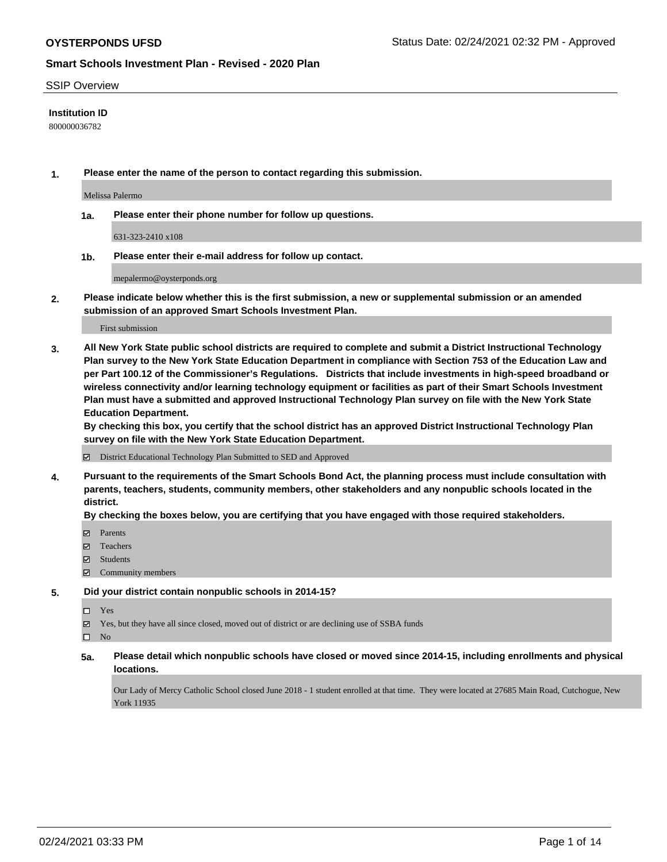### SSIP Overview

### **Institution ID**

800000036782

**1. Please enter the name of the person to contact regarding this submission.**

Melissa Palermo

**1a. Please enter their phone number for follow up questions.**

631-323-2410 x108

**1b. Please enter their e-mail address for follow up contact.**

mepalermo@oysterponds.org

**2. Please indicate below whether this is the first submission, a new or supplemental submission or an amended submission of an approved Smart Schools Investment Plan.**

#### First submission

**3. All New York State public school districts are required to complete and submit a District Instructional Technology Plan survey to the New York State Education Department in compliance with Section 753 of the Education Law and per Part 100.12 of the Commissioner's Regulations. Districts that include investments in high-speed broadband or wireless connectivity and/or learning technology equipment or facilities as part of their Smart Schools Investment Plan must have a submitted and approved Instructional Technology Plan survey on file with the New York State Education Department.** 

**By checking this box, you certify that the school district has an approved District Instructional Technology Plan survey on file with the New York State Education Department.**

District Educational Technology Plan Submitted to SED and Approved

**4. Pursuant to the requirements of the Smart Schools Bond Act, the planning process must include consultation with parents, teachers, students, community members, other stakeholders and any nonpublic schools located in the district.** 

### **By checking the boxes below, you are certifying that you have engaged with those required stakeholders.**

- **Parents**
- Teachers
- Students
- $\Xi$  Community members

#### **5. Did your district contain nonpublic schools in 2014-15?**

Yes

Yes, but they have all since closed, moved out of district or are declining use of SSBA funds

### **5a. Please detail which nonpublic schools have closed or moved since 2014-15, including enrollments and physical locations.**

Our Lady of Mercy Catholic School closed June 2018 - 1 student enrolled at that time. They were located at 27685 Main Road, Cutchogue, New York 11935

 $\hfill \square$  No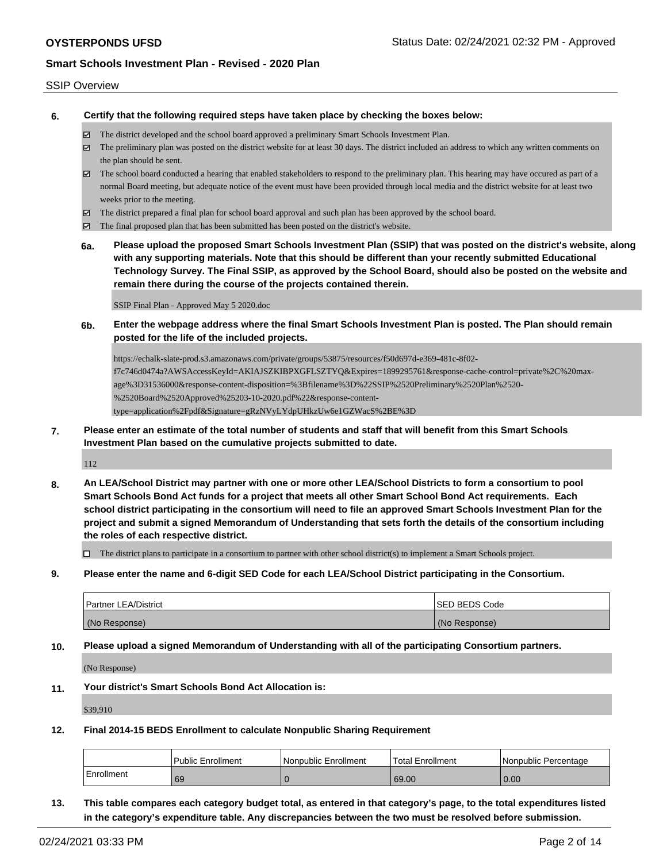### SSIP Overview

**6. Certify that the following required steps have taken place by checking the boxes below:**

- The district developed and the school board approved a preliminary Smart Schools Investment Plan.
- $\boxtimes$  The preliminary plan was posted on the district website for at least 30 days. The district included an address to which any written comments on the plan should be sent.
- $\boxtimes$  The school board conducted a hearing that enabled stakeholders to respond to the preliminary plan. This hearing may have occured as part of a normal Board meeting, but adequate notice of the event must have been provided through local media and the district website for at least two weeks prior to the meeting.
- $\boxtimes$  The district prepared a final plan for school board approval and such plan has been approved by the school board.
- $\boxtimes$  The final proposed plan that has been submitted has been posted on the district's website.
- **6a. Please upload the proposed Smart Schools Investment Plan (SSIP) that was posted on the district's website, along with any supporting materials. Note that this should be different than your recently submitted Educational Technology Survey. The Final SSIP, as approved by the School Board, should also be posted on the website and remain there during the course of the projects contained therein.**

SSIP Final Plan - Approved May 5 2020.doc

**6b. Enter the webpage address where the final Smart Schools Investment Plan is posted. The Plan should remain posted for the life of the included projects.**

https://echalk-slate-prod.s3.amazonaws.com/private/groups/53875/resources/f50d697d-e369-481c-8f02 f7c746d0474a?AWSAccessKeyId=AKIAJSZKIBPXGFLSZTYQ&Expires=1899295761&response-cache-control=private%2C%20maxage%3D31536000&response-content-disposition=%3Bfilename%3D%22SSIP%2520Preliminary%2520Plan%2520- %2520Board%2520Approved%25203-10-2020.pdf%22&response-contenttype=application%2Fpdf&Signature=gRzNVyLYdpUHkzUw6e1GZWacS%2BE%3D

**7. Please enter an estimate of the total number of students and staff that will benefit from this Smart Schools Investment Plan based on the cumulative projects submitted to date.**

112

**8. An LEA/School District may partner with one or more other LEA/School Districts to form a consortium to pool Smart Schools Bond Act funds for a project that meets all other Smart School Bond Act requirements. Each school district participating in the consortium will need to file an approved Smart Schools Investment Plan for the project and submit a signed Memorandum of Understanding that sets forth the details of the consortium including the roles of each respective district.**

 $\Box$  The district plans to participate in a consortium to partner with other school district(s) to implement a Smart Schools project.

**9. Please enter the name and 6-digit SED Code for each LEA/School District participating in the Consortium.**

| <b>Partner LEA/District</b> | <b>ISED BEDS Code</b> |
|-----------------------------|-----------------------|
| (No Response)               | (No Response)         |

**10. Please upload a signed Memorandum of Understanding with all of the participating Consortium partners.**

(No Response)

**11. Your district's Smart Schools Bond Act Allocation is:**

\$39,910

**12. Final 2014-15 BEDS Enrollment to calculate Nonpublic Sharing Requirement**

|            | <b>Public Enrollment</b> | l Nonpublic Enrollment | <b>Total Enrollment</b> | l Nonpublic Percentage |
|------------|--------------------------|------------------------|-------------------------|------------------------|
| Enrollment | 69                       |                        | 69.00                   | 0.00                   |

**13. This table compares each category budget total, as entered in that category's page, to the total expenditures listed in the category's expenditure table. Any discrepancies between the two must be resolved before submission.**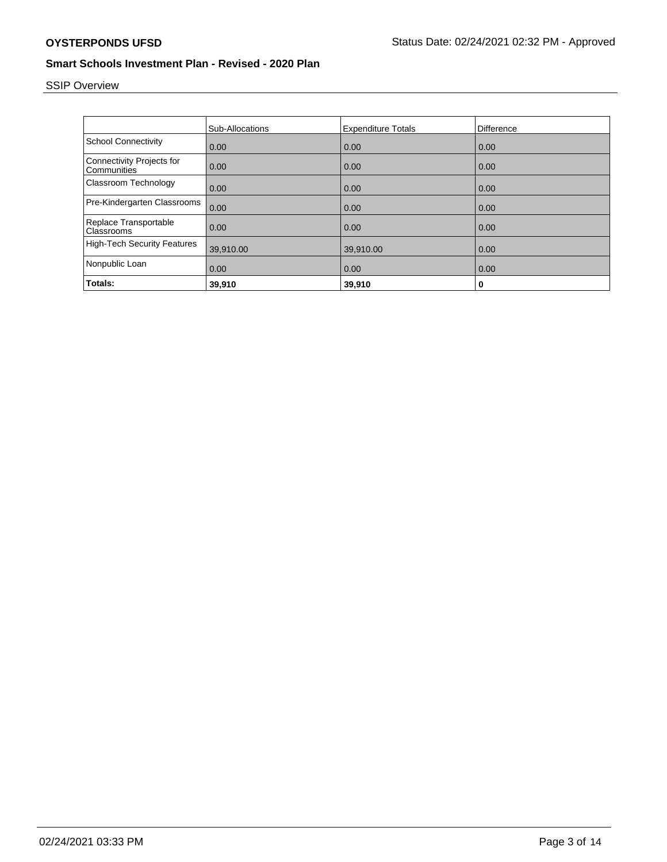# SSIP Overview

|                                                 | <b>Sub-Allocations</b> | <b>Expenditure Totals</b> | Difference |
|-------------------------------------------------|------------------------|---------------------------|------------|
| <b>School Connectivity</b>                      | 0.00                   | 0.00                      | 0.00       |
| <b>Connectivity Projects for</b><br>Communities | 0.00                   | 0.00                      | 0.00       |
| Classroom Technology                            | 0.00                   | 0.00                      | 0.00       |
| Pre-Kindergarten Classrooms                     | 0.00                   | 0.00                      | 0.00       |
| Replace Transportable<br>Classrooms             | 0.00                   | 0.00                      | 0.00       |
| <b>High-Tech Security Features</b>              | 39,910.00              | 39,910.00                 | 0.00       |
| Nonpublic Loan                                  | 0.00                   | 0.00                      | 0.00       |
| Totals:                                         | 39,910                 | 39,910                    | 0          |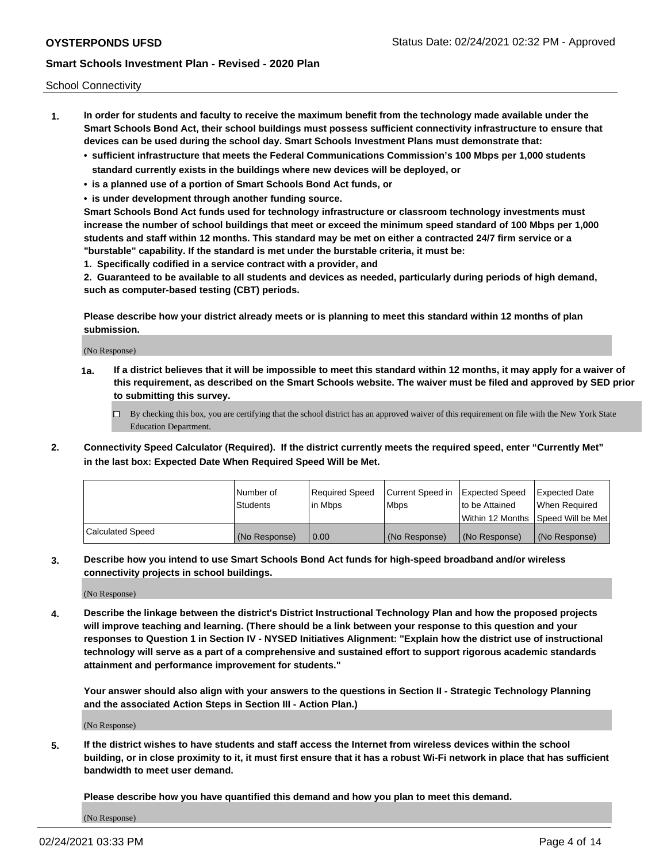School Connectivity

- **1. In order for students and faculty to receive the maximum benefit from the technology made available under the Smart Schools Bond Act, their school buildings must possess sufficient connectivity infrastructure to ensure that devices can be used during the school day. Smart Schools Investment Plans must demonstrate that:**
	- **• sufficient infrastructure that meets the Federal Communications Commission's 100 Mbps per 1,000 students standard currently exists in the buildings where new devices will be deployed, or**
	- **• is a planned use of a portion of Smart Schools Bond Act funds, or**
	- **• is under development through another funding source.**

**Smart Schools Bond Act funds used for technology infrastructure or classroom technology investments must increase the number of school buildings that meet or exceed the minimum speed standard of 100 Mbps per 1,000 students and staff within 12 months. This standard may be met on either a contracted 24/7 firm service or a "burstable" capability. If the standard is met under the burstable criteria, it must be:**

**1. Specifically codified in a service contract with a provider, and**

**2. Guaranteed to be available to all students and devices as needed, particularly during periods of high demand, such as computer-based testing (CBT) periods.**

**Please describe how your district already meets or is planning to meet this standard within 12 months of plan submission.**

(No Response)

**1a. If a district believes that it will be impossible to meet this standard within 12 months, it may apply for a waiver of this requirement, as described on the Smart Schools website. The waiver must be filed and approved by SED prior to submitting this survey.**

 $\Box$  By checking this box, you are certifying that the school district has an approved waiver of this requirement on file with the New York State Education Department.

**2. Connectivity Speed Calculator (Required). If the district currently meets the required speed, enter "Currently Met" in the last box: Expected Date When Required Speed Will be Met.**

|                  | l Number of     | Required Speed | Current Speed in | Expected Speed  | Expected Date                           |
|------------------|-----------------|----------------|------------------|-----------------|-----------------------------------------|
|                  | <b>Students</b> | In Mbps        | l Mbps           | to be Attained  | When Required                           |
|                  |                 |                |                  |                 | l Within 12 Months ISpeed Will be Met l |
| Calculated Speed | (No Response)   | 0.00           | (No Response)    | l (No Response) | l (No Response)                         |

**3. Describe how you intend to use Smart Schools Bond Act funds for high-speed broadband and/or wireless connectivity projects in school buildings.**

(No Response)

**4. Describe the linkage between the district's District Instructional Technology Plan and how the proposed projects will improve teaching and learning. (There should be a link between your response to this question and your responses to Question 1 in Section IV - NYSED Initiatives Alignment: "Explain how the district use of instructional technology will serve as a part of a comprehensive and sustained effort to support rigorous academic standards attainment and performance improvement for students."** 

**Your answer should also align with your answers to the questions in Section II - Strategic Technology Planning and the associated Action Steps in Section III - Action Plan.)**

(No Response)

**5. If the district wishes to have students and staff access the Internet from wireless devices within the school building, or in close proximity to it, it must first ensure that it has a robust Wi-Fi network in place that has sufficient bandwidth to meet user demand.**

**Please describe how you have quantified this demand and how you plan to meet this demand.**

(No Response)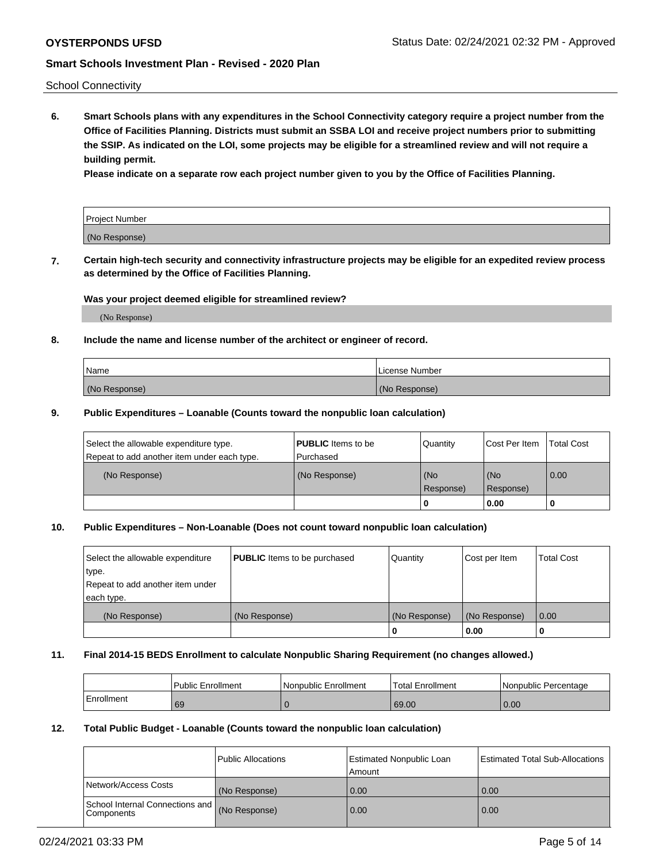School Connectivity

**6. Smart Schools plans with any expenditures in the School Connectivity category require a project number from the Office of Facilities Planning. Districts must submit an SSBA LOI and receive project numbers prior to submitting the SSIP. As indicated on the LOI, some projects may be eligible for a streamlined review and will not require a building permit.**

**Please indicate on a separate row each project number given to you by the Office of Facilities Planning.**

| Project Number |  |
|----------------|--|
| (No Response)  |  |

**7. Certain high-tech security and connectivity infrastructure projects may be eligible for an expedited review process as determined by the Office of Facilities Planning.**

### **Was your project deemed eligible for streamlined review?**

(No Response)

### **8. Include the name and license number of the architect or engineer of record.**

| Name          | License Number |
|---------------|----------------|
| (No Response) | (No Response)  |

### **9. Public Expenditures – Loanable (Counts toward the nonpublic loan calculation)**

| Select the allowable expenditure type.<br>Repeat to add another item under each type. | <b>PUBLIC</b> Items to be<br>l Purchased | Quantity           | Cost Per Item    | <b>Total Cost</b> |
|---------------------------------------------------------------------------------------|------------------------------------------|--------------------|------------------|-------------------|
| (No Response)                                                                         | (No Response)                            | l (No<br>Response) | (No<br>Response) | $\overline{0.00}$ |
|                                                                                       |                                          | O                  | 0.00             |                   |

## **10. Public Expenditures – Non-Loanable (Does not count toward nonpublic loan calculation)**

| Select the allowable expenditure<br>type.<br>Repeat to add another item under<br>each type. | <b>PUBLIC</b> Items to be purchased | Quantity      | Cost per Item | <b>Total Cost</b> |
|---------------------------------------------------------------------------------------------|-------------------------------------|---------------|---------------|-------------------|
| (No Response)                                                                               | (No Response)                       | (No Response) | (No Response) | 0.00              |
|                                                                                             |                                     |               | 0.00          |                   |

#### **11. Final 2014-15 BEDS Enrollment to calculate Nonpublic Sharing Requirement (no changes allowed.)**

|            | Public Enrollment | l Nonpublic Enrollment | <b>Total Enrollment</b> | Nonpublic Percentage |
|------------|-------------------|------------------------|-------------------------|----------------------|
| Enrollment | 69                |                        | 69.00                   | 0.00                 |

### **12. Total Public Budget - Loanable (Counts toward the nonpublic loan calculation)**

|                                                      | Public Allocations | <b>Estimated Nonpublic Loan</b><br>Amount | Estimated Total Sub-Allocations |
|------------------------------------------------------|--------------------|-------------------------------------------|---------------------------------|
| Network/Access Costs                                 | (No Response)      | 0.00                                      | 0.00                            |
| School Internal Connections and<br><b>Components</b> | (No Response)      | 0.00                                      | 0.00                            |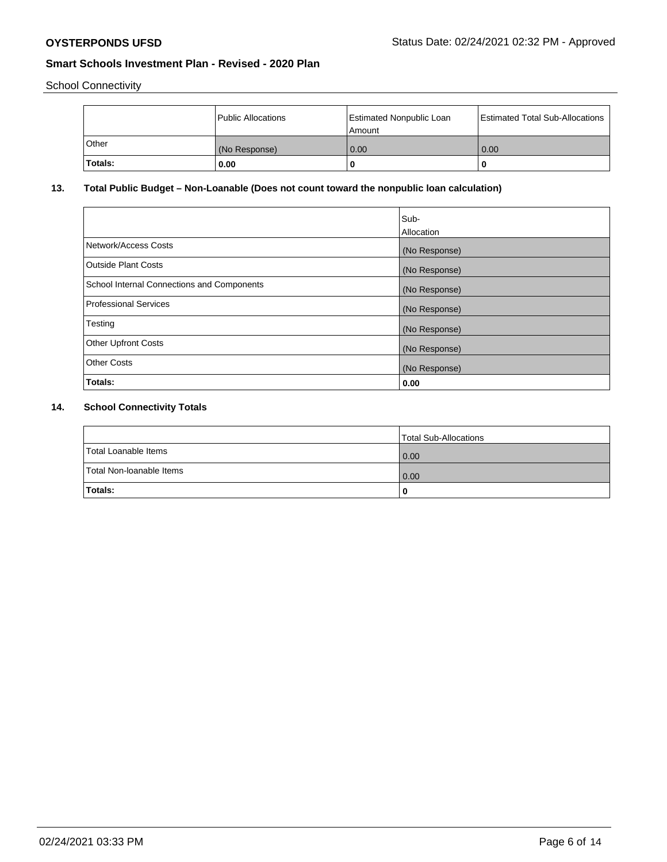School Connectivity

|              | Public Allocations | <b>Estimated Nonpublic Loan</b><br>Amount | <b>Estimated Total Sub-Allocations</b> |
|--------------|--------------------|-------------------------------------------|----------------------------------------|
| <b>Other</b> | (No Response)      | 0.00                                      | 0.00                                   |
| Totals:      | 0.00               |                                           | 0                                      |

## **13. Total Public Budget – Non-Loanable (Does not count toward the nonpublic loan calculation)**

| Sub-<br>Allocation |
|--------------------|
| (No Response)      |
| (No Response)      |
| (No Response)      |
| (No Response)      |
| (No Response)      |
| (No Response)      |
| (No Response)      |
| 0.00               |
|                    |

## **14. School Connectivity Totals**

|                          | Total Sub-Allocations |
|--------------------------|-----------------------|
| Total Loanable Items     | 0.00                  |
| Total Non-Ioanable Items | 0.00                  |
| Totals:                  | 0                     |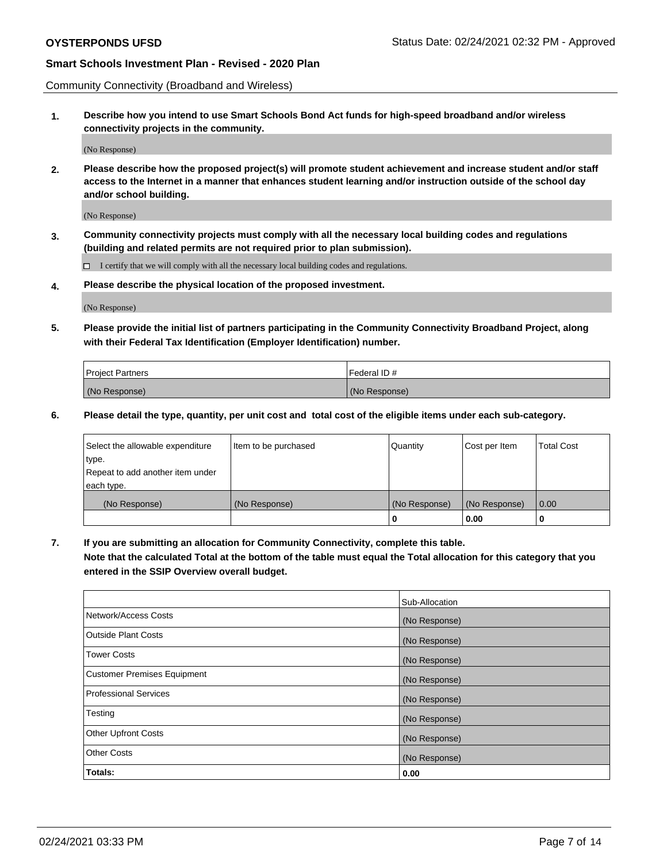Community Connectivity (Broadband and Wireless)

**1. Describe how you intend to use Smart Schools Bond Act funds for high-speed broadband and/or wireless connectivity projects in the community.**

(No Response)

**2. Please describe how the proposed project(s) will promote student achievement and increase student and/or staff access to the Internet in a manner that enhances student learning and/or instruction outside of the school day and/or school building.**

(No Response)

**3. Community connectivity projects must comply with all the necessary local building codes and regulations (building and related permits are not required prior to plan submission).**

 $\Box$  I certify that we will comply with all the necessary local building codes and regulations.

**4. Please describe the physical location of the proposed investment.**

(No Response)

**5. Please provide the initial list of partners participating in the Community Connectivity Broadband Project, along with their Federal Tax Identification (Employer Identification) number.**

| <b>Project Partners</b> | l Federal ID # |
|-------------------------|----------------|
| (No Response)           | (No Response)  |

**6. Please detail the type, quantity, per unit cost and total cost of the eligible items under each sub-category.**

| Select the allowable expenditure | Item to be purchased | Quantity      | Cost per Item | <b>Total Cost</b> |
|----------------------------------|----------------------|---------------|---------------|-------------------|
| type.                            |                      |               |               |                   |
| Repeat to add another item under |                      |               |               |                   |
| each type.                       |                      |               |               |                   |
| (No Response)                    | (No Response)        | (No Response) | (No Response) | 0.00              |
|                                  |                      | o             | 0.00          |                   |

**7. If you are submitting an allocation for Community Connectivity, complete this table.**

**Note that the calculated Total at the bottom of the table must equal the Total allocation for this category that you entered in the SSIP Overview overall budget.**

|                                    | Sub-Allocation |
|------------------------------------|----------------|
| Network/Access Costs               | (No Response)  |
| Outside Plant Costs                | (No Response)  |
| <b>Tower Costs</b>                 | (No Response)  |
| <b>Customer Premises Equipment</b> | (No Response)  |
| <b>Professional Services</b>       | (No Response)  |
| Testing                            | (No Response)  |
| <b>Other Upfront Costs</b>         | (No Response)  |
| <b>Other Costs</b>                 | (No Response)  |
| Totals:                            | 0.00           |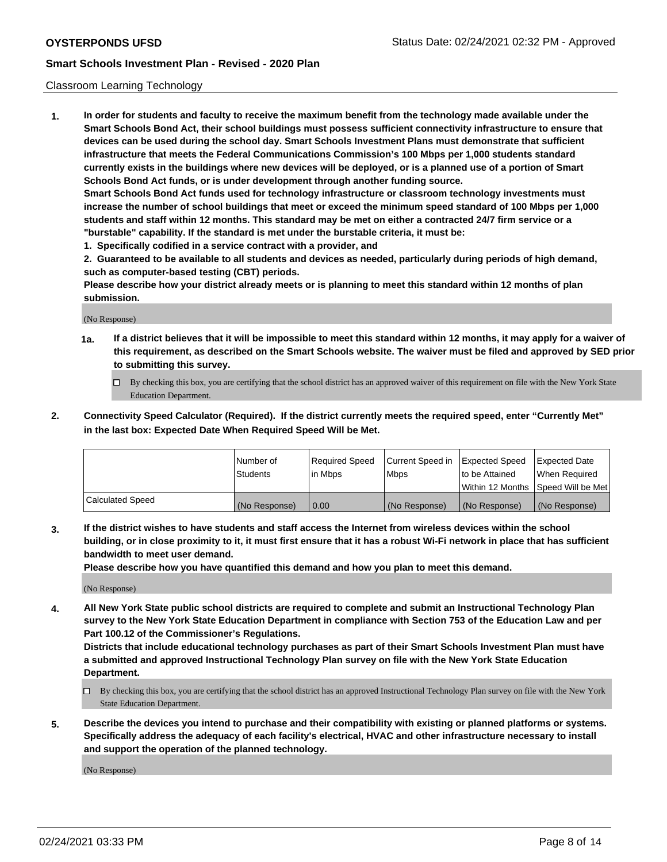### Classroom Learning Technology

**1. In order for students and faculty to receive the maximum benefit from the technology made available under the Smart Schools Bond Act, their school buildings must possess sufficient connectivity infrastructure to ensure that devices can be used during the school day. Smart Schools Investment Plans must demonstrate that sufficient infrastructure that meets the Federal Communications Commission's 100 Mbps per 1,000 students standard currently exists in the buildings where new devices will be deployed, or is a planned use of a portion of Smart Schools Bond Act funds, or is under development through another funding source. Smart Schools Bond Act funds used for technology infrastructure or classroom technology investments must increase the number of school buildings that meet or exceed the minimum speed standard of 100 Mbps per 1,000 students and staff within 12 months. This standard may be met on either a contracted 24/7 firm service or a "burstable" capability. If the standard is met under the burstable criteria, it must be:**

**1. Specifically codified in a service contract with a provider, and**

**2. Guaranteed to be available to all students and devices as needed, particularly during periods of high demand, such as computer-based testing (CBT) periods.**

**Please describe how your district already meets or is planning to meet this standard within 12 months of plan submission.**

(No Response)

- **1a. If a district believes that it will be impossible to meet this standard within 12 months, it may apply for a waiver of this requirement, as described on the Smart Schools website. The waiver must be filed and approved by SED prior to submitting this survey.**
	- By checking this box, you are certifying that the school district has an approved waiver of this requirement on file with the New York State Education Department.
- **2. Connectivity Speed Calculator (Required). If the district currently meets the required speed, enter "Currently Met" in the last box: Expected Date When Required Speed Will be Met.**

|                  | l Number of     | Required Speed | Current Speed in | <b>Expected Speed</b> | <b>Expected Date</b>                |
|------------------|-----------------|----------------|------------------|-----------------------|-------------------------------------|
|                  | <b>Students</b> | l in Mbps      | l Mbps           | to be Attained        | When Required                       |
|                  |                 |                |                  |                       | Within 12 Months  Speed Will be Met |
| Calculated Speed | (No Response)   | 0.00           | (No Response)    | l (No Response)       | (No Response)                       |

**3. If the district wishes to have students and staff access the Internet from wireless devices within the school building, or in close proximity to it, it must first ensure that it has a robust Wi-Fi network in place that has sufficient bandwidth to meet user demand.**

**Please describe how you have quantified this demand and how you plan to meet this demand.**

(No Response)

**4. All New York State public school districts are required to complete and submit an Instructional Technology Plan survey to the New York State Education Department in compliance with Section 753 of the Education Law and per Part 100.12 of the Commissioner's Regulations.**

**Districts that include educational technology purchases as part of their Smart Schools Investment Plan must have a submitted and approved Instructional Technology Plan survey on file with the New York State Education Department.**

- By checking this box, you are certifying that the school district has an approved Instructional Technology Plan survey on file with the New York State Education Department.
- **5. Describe the devices you intend to purchase and their compatibility with existing or planned platforms or systems. Specifically address the adequacy of each facility's electrical, HVAC and other infrastructure necessary to install and support the operation of the planned technology.**

(No Response)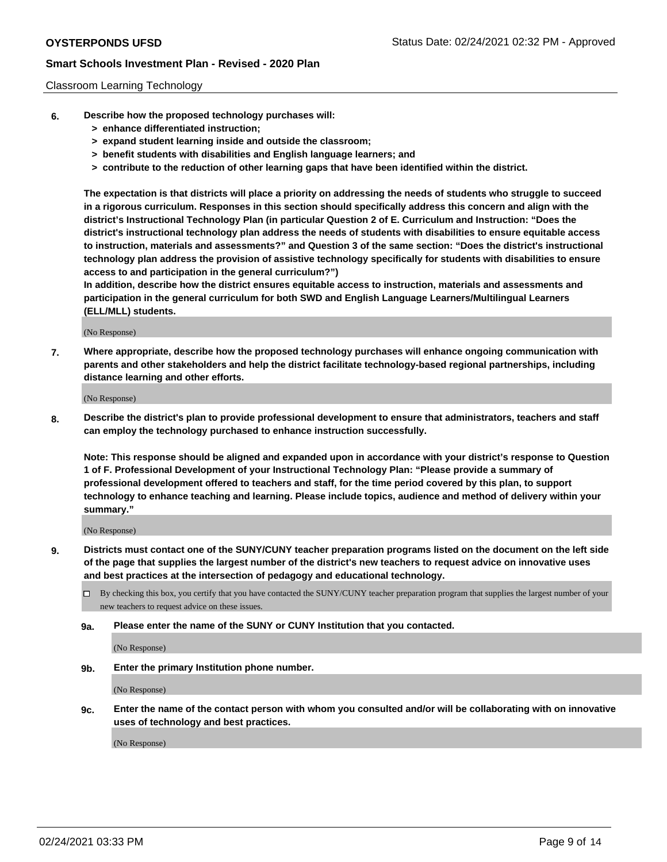### Classroom Learning Technology

- **6. Describe how the proposed technology purchases will:**
	- **> enhance differentiated instruction;**
	- **> expand student learning inside and outside the classroom;**
	- **> benefit students with disabilities and English language learners; and**
	- **> contribute to the reduction of other learning gaps that have been identified within the district.**

**The expectation is that districts will place a priority on addressing the needs of students who struggle to succeed in a rigorous curriculum. Responses in this section should specifically address this concern and align with the district's Instructional Technology Plan (in particular Question 2 of E. Curriculum and Instruction: "Does the district's instructional technology plan address the needs of students with disabilities to ensure equitable access to instruction, materials and assessments?" and Question 3 of the same section: "Does the district's instructional technology plan address the provision of assistive technology specifically for students with disabilities to ensure access to and participation in the general curriculum?")**

**In addition, describe how the district ensures equitable access to instruction, materials and assessments and participation in the general curriculum for both SWD and English Language Learners/Multilingual Learners (ELL/MLL) students.**

(No Response)

**7. Where appropriate, describe how the proposed technology purchases will enhance ongoing communication with parents and other stakeholders and help the district facilitate technology-based regional partnerships, including distance learning and other efforts.**

(No Response)

**8. Describe the district's plan to provide professional development to ensure that administrators, teachers and staff can employ the technology purchased to enhance instruction successfully.**

**Note: This response should be aligned and expanded upon in accordance with your district's response to Question 1 of F. Professional Development of your Instructional Technology Plan: "Please provide a summary of professional development offered to teachers and staff, for the time period covered by this plan, to support technology to enhance teaching and learning. Please include topics, audience and method of delivery within your summary."**

(No Response)

- **9. Districts must contact one of the SUNY/CUNY teacher preparation programs listed on the document on the left side of the page that supplies the largest number of the district's new teachers to request advice on innovative uses and best practices at the intersection of pedagogy and educational technology.**
	- By checking this box, you certify that you have contacted the SUNY/CUNY teacher preparation program that supplies the largest number of your new teachers to request advice on these issues.
	- **9a. Please enter the name of the SUNY or CUNY Institution that you contacted.**

(No Response)

**9b. Enter the primary Institution phone number.**

(No Response)

**9c. Enter the name of the contact person with whom you consulted and/or will be collaborating with on innovative uses of technology and best practices.**

(No Response)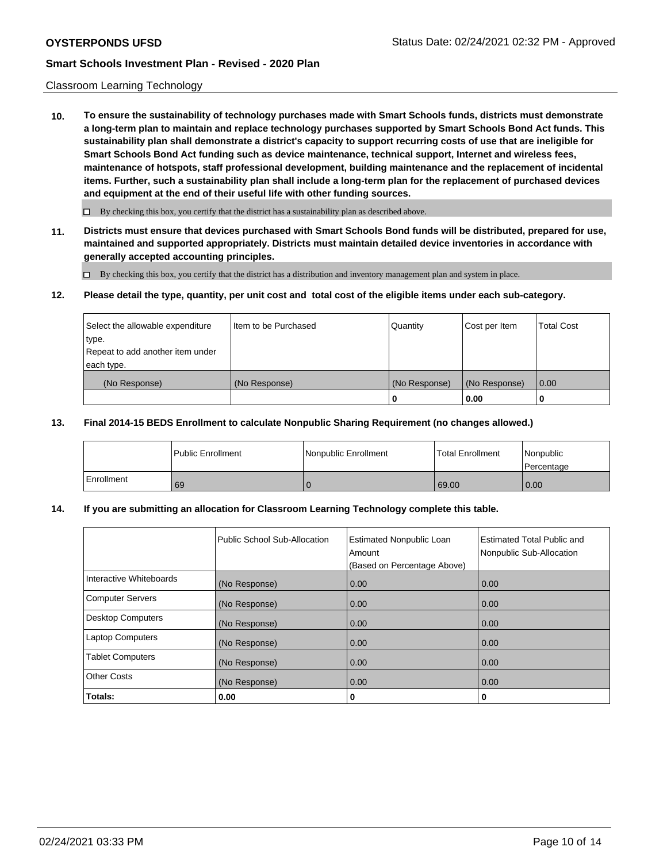### Classroom Learning Technology

**10. To ensure the sustainability of technology purchases made with Smart Schools funds, districts must demonstrate a long-term plan to maintain and replace technology purchases supported by Smart Schools Bond Act funds. This sustainability plan shall demonstrate a district's capacity to support recurring costs of use that are ineligible for Smart Schools Bond Act funding such as device maintenance, technical support, Internet and wireless fees, maintenance of hotspots, staff professional development, building maintenance and the replacement of incidental items. Further, such a sustainability plan shall include a long-term plan for the replacement of purchased devices and equipment at the end of their useful life with other funding sources.**

 $\Box$  By checking this box, you certify that the district has a sustainability plan as described above.

**11. Districts must ensure that devices purchased with Smart Schools Bond funds will be distributed, prepared for use, maintained and supported appropriately. Districts must maintain detailed device inventories in accordance with generally accepted accounting principles.**

By checking this box, you certify that the district has a distribution and inventory management plan and system in place.

### **12. Please detail the type, quantity, per unit cost and total cost of the eligible items under each sub-category.**

| Select the allowable expenditure<br>type.      | Item to be Purchased | Quantity      | Cost per Item | <b>Total Cost</b> |
|------------------------------------------------|----------------------|---------------|---------------|-------------------|
| Repeat to add another item under<br>each type. |                      |               |               |                   |
| (No Response)                                  | (No Response)        | (No Response) | (No Response) | 0.00              |
|                                                |                      |               | 0.00          |                   |

### **13. Final 2014-15 BEDS Enrollment to calculate Nonpublic Sharing Requirement (no changes allowed.)**

|            | <b>Public Enrollment</b> | Nonpublic Enrollment | <b>Total Enrollment</b> | Nonpublic<br>l Percentage |
|------------|--------------------------|----------------------|-------------------------|---------------------------|
| Enrollment | 69                       |                      | 69.00                   | 0.00                      |

### **14. If you are submitting an allocation for Classroom Learning Technology complete this table.**

|                         | Public School Sub-Allocation | <b>Estimated Nonpublic Loan</b><br>Amount<br>(Based on Percentage Above) | <b>Estimated Total Public and</b><br>Nonpublic Sub-Allocation |
|-------------------------|------------------------------|--------------------------------------------------------------------------|---------------------------------------------------------------|
| Interactive Whiteboards | (No Response)                | 0.00                                                                     | 0.00                                                          |
| Computer Servers        | (No Response)                | 0.00                                                                     | 0.00                                                          |
| Desktop Computers       | (No Response)                | 0.00                                                                     | 0.00                                                          |
| <b>Laptop Computers</b> | (No Response)                | 0.00                                                                     | 0.00                                                          |
| <b>Tablet Computers</b> | (No Response)                | 0.00                                                                     | 0.00                                                          |
| Other Costs             | (No Response)                | 0.00                                                                     | 0.00                                                          |
| Totals:                 | 0.00                         | 0                                                                        | 0                                                             |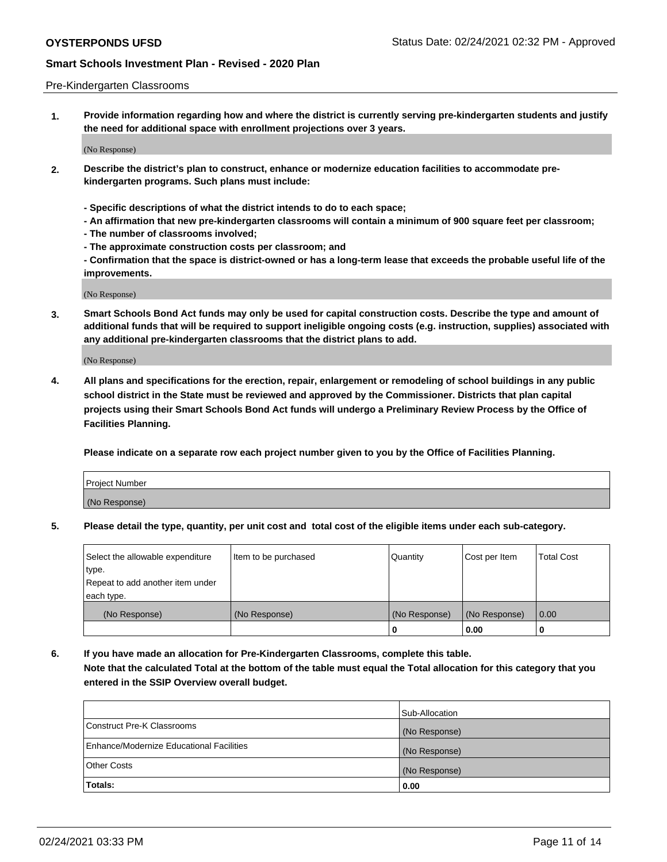### Pre-Kindergarten Classrooms

**1. Provide information regarding how and where the district is currently serving pre-kindergarten students and justify the need for additional space with enrollment projections over 3 years.**

(No Response)

- **2. Describe the district's plan to construct, enhance or modernize education facilities to accommodate prekindergarten programs. Such plans must include:**
	- **Specific descriptions of what the district intends to do to each space;**
	- **An affirmation that new pre-kindergarten classrooms will contain a minimum of 900 square feet per classroom;**
	- **The number of classrooms involved;**
	- **The approximate construction costs per classroom; and**
	- **Confirmation that the space is district-owned or has a long-term lease that exceeds the probable useful life of the improvements.**

(No Response)

**3. Smart Schools Bond Act funds may only be used for capital construction costs. Describe the type and amount of additional funds that will be required to support ineligible ongoing costs (e.g. instruction, supplies) associated with any additional pre-kindergarten classrooms that the district plans to add.**

(No Response)

**4. All plans and specifications for the erection, repair, enlargement or remodeling of school buildings in any public school district in the State must be reviewed and approved by the Commissioner. Districts that plan capital projects using their Smart Schools Bond Act funds will undergo a Preliminary Review Process by the Office of Facilities Planning.**

**Please indicate on a separate row each project number given to you by the Office of Facilities Planning.**

| Project Number |  |
|----------------|--|
| (No Response)  |  |
|                |  |

**5. Please detail the type, quantity, per unit cost and total cost of the eligible items under each sub-category.**

| Select the allowable expenditure | Item to be purchased | Quantity      | Cost per Item | <b>Total Cost</b> |
|----------------------------------|----------------------|---------------|---------------|-------------------|
| type.                            |                      |               |               |                   |
| Repeat to add another item under |                      |               |               |                   |
| each type.                       |                      |               |               |                   |
| (No Response)                    | (No Response)        | (No Response) | (No Response) | 0.00              |
|                                  |                      | υ             | 0.00          |                   |

**6. If you have made an allocation for Pre-Kindergarten Classrooms, complete this table. Note that the calculated Total at the bottom of the table must equal the Total allocation for this category that you entered in the SSIP Overview overall budget.**

|                                          | Sub-Allocation |
|------------------------------------------|----------------|
| Construct Pre-K Classrooms               | (No Response)  |
| Enhance/Modernize Educational Facilities | (No Response)  |
| <b>Other Costs</b>                       | (No Response)  |
| Totals:                                  | 0.00           |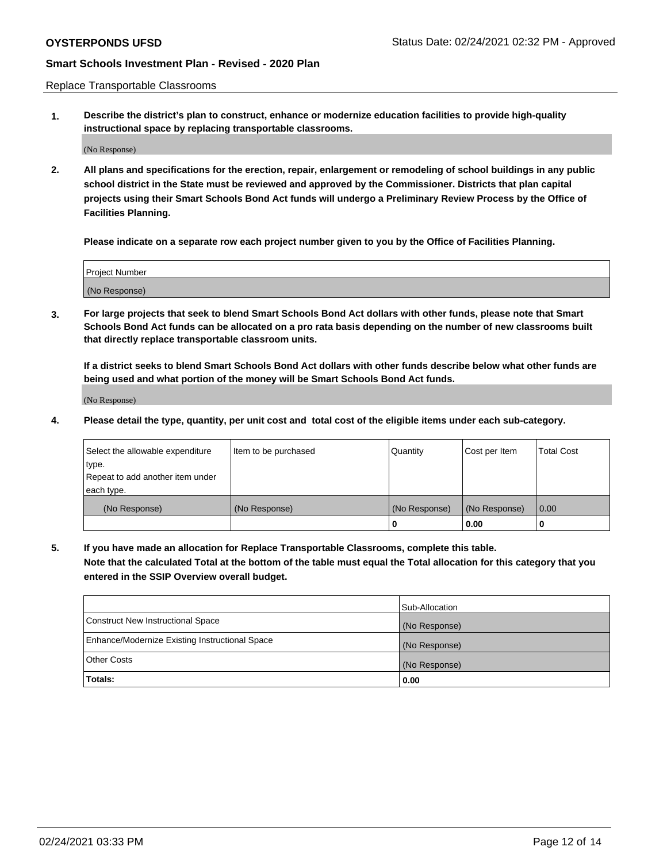Replace Transportable Classrooms

**1. Describe the district's plan to construct, enhance or modernize education facilities to provide high-quality instructional space by replacing transportable classrooms.**

(No Response)

**2. All plans and specifications for the erection, repair, enlargement or remodeling of school buildings in any public school district in the State must be reviewed and approved by the Commissioner. Districts that plan capital projects using their Smart Schools Bond Act funds will undergo a Preliminary Review Process by the Office of Facilities Planning.**

**Please indicate on a separate row each project number given to you by the Office of Facilities Planning.**

| Project Number |  |
|----------------|--|
|                |  |
|                |  |
|                |  |
|                |  |
| (No Response)  |  |
|                |  |
|                |  |
|                |  |

**3. For large projects that seek to blend Smart Schools Bond Act dollars with other funds, please note that Smart Schools Bond Act funds can be allocated on a pro rata basis depending on the number of new classrooms built that directly replace transportable classroom units.**

**If a district seeks to blend Smart Schools Bond Act dollars with other funds describe below what other funds are being used and what portion of the money will be Smart Schools Bond Act funds.**

(No Response)

**4. Please detail the type, quantity, per unit cost and total cost of the eligible items under each sub-category.**

| Select the allowable expenditure | Item to be purchased | Quantity      | Cost per Item | Total Cost |
|----------------------------------|----------------------|---------------|---------------|------------|
| ∣type.                           |                      |               |               |            |
| Repeat to add another item under |                      |               |               |            |
| each type.                       |                      |               |               |            |
| (No Response)                    | (No Response)        | (No Response) | (No Response) | 0.00       |
|                                  |                      | u             | 0.00          |            |

**5. If you have made an allocation for Replace Transportable Classrooms, complete this table. Note that the calculated Total at the bottom of the table must equal the Total allocation for this category that you entered in the SSIP Overview overall budget.**

|                                                | Sub-Allocation |
|------------------------------------------------|----------------|
| Construct New Instructional Space              | (No Response)  |
| Enhance/Modernize Existing Instructional Space | (No Response)  |
| Other Costs                                    | (No Response)  |
| Totals:                                        | 0.00           |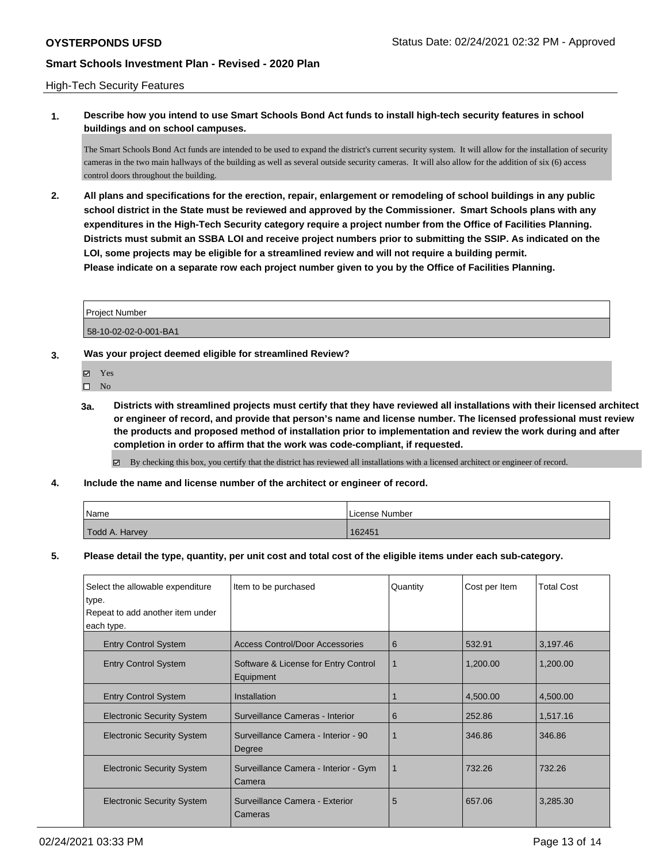### High-Tech Security Features

**1. Describe how you intend to use Smart Schools Bond Act funds to install high-tech security features in school buildings and on school campuses.**

The Smart Schools Bond Act funds are intended to be used to expand the district's current security system. It will allow for the installation of security cameras in the two main hallways of the building as well as several outside security cameras. It will also allow for the addition of six (6) access control doors throughout the building.

**2. All plans and specifications for the erection, repair, enlargement or remodeling of school buildings in any public school district in the State must be reviewed and approved by the Commissioner. Smart Schools plans with any expenditures in the High-Tech Security category require a project number from the Office of Facilities Planning. Districts must submit an SSBA LOI and receive project numbers prior to submitting the SSIP. As indicated on the LOI, some projects may be eligible for a streamlined review and will not require a building permit. Please indicate on a separate row each project number given to you by the Office of Facilities Planning.**

| l Proiect Number      |  |
|-----------------------|--|
|                       |  |
| 58-10-02-02-0-001-BA1 |  |

### **3. Was your project deemed eligible for streamlined Review?**

- Yes
- $\square$  No
- **3a. Districts with streamlined projects must certify that they have reviewed all installations with their licensed architect or engineer of record, and provide that person's name and license number. The licensed professional must review the products and proposed method of installation prior to implementation and review the work during and after completion in order to affirm that the work was code-compliant, if requested.**
	- By checking this box, you certify that the district has reviewed all installations with a licensed architect or engineer of record.
- **4. Include the name and license number of the architect or engineer of record.**

| Name           | License Number |
|----------------|----------------|
| Todd A. Harvey | 162451         |

**5. Please detail the type, quantity, per unit cost and total cost of the eligible items under each sub-category.**

| Select the allowable expenditure<br>type.<br>Repeat to add another item under<br>each type. | Item to be purchased                              | Quantity    | Cost per Item | <b>Total Cost</b> |
|---------------------------------------------------------------------------------------------|---------------------------------------------------|-------------|---------------|-------------------|
| <b>Entry Control System</b>                                                                 | <b>Access Control/Door Accessories</b>            | 6           | 532.91        | 3,197.46          |
| <b>Entry Control System</b>                                                                 | Software & License for Entry Control<br>Equipment | 1           | 1,200.00      | 1,200.00          |
| <b>Entry Control System</b>                                                                 | Installation                                      |             | 4,500.00      | 4,500.00          |
| <b>Electronic Security System</b>                                                           | Surveillance Cameras - Interior                   | 6           | 252.86        | 1,517.16          |
| <b>Electronic Security System</b>                                                           | Surveillance Camera - Interior - 90<br>Degree     |             | 346.86        | 346.86            |
| <b>Electronic Security System</b>                                                           | Surveillance Camera - Interior - Gym<br>Camera    | $\mathbf 1$ | 732.26        | 732.26            |
| <b>Electronic Security System</b>                                                           | Surveillance Camera - Exterior<br>Cameras         | 5           | 657.06        | 3,285.30          |